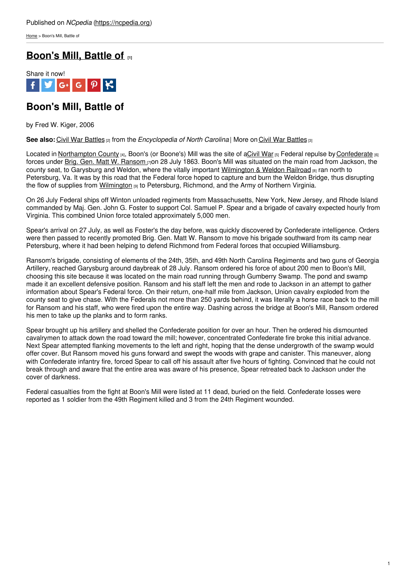[Home](https://ncpedia.org/) > Boon's Mill, Battle of

## **[Boon's](https://ncpedia.org/boons-mill-battle) Mill, Battle of [1]**



### **Boon's Mill, Battle of**

by Fred W. Kiger, 2006

**See also:** Civil War [Battles](https://ncpedia.org/part-5-military-movements-battles-a) [2] from the *Encyclopedia of North Carolina* | More on Civil War [Battles](https://ncpedia.org/civil-war-battles) [3]

Located in [Northampton](https://ncpedia.org/geography/northampton) County [4], Boon's (or Boone's) Mill was the site of [aCivil](https://ncpedia.org/civil-war) War [5] Federal repulse by [Confederate](https://ncpedia.org/confederate-party) [6] forces under Brig. Gen. Matt W. [Ransom](https://ncpedia.org/biography/ransom-matthew-whitaker) [7]on 28 July 1863. Boon's Mill was situated on the main road from Jackson, the county seat, to Garysburg and Weldon, where the vitally important [Wilmington](https://ncpedia.org/wilmington-weldon-railroad) & Weldon Railroad [8] ran north to Petersburg, Va. It was by this road that the Federal force hoped to capture and burn the Weldon Bridge, thus disrupting the flow of supplies from [Wilmington](https://ncpedia.org/geography/wilmington) [9] to [Petersburg,](http://www.social9.com) Richmond, and the Army of Northern Virginia.

On 26 July Federal ships off Winton unloaded regiments from Massachusetts, New York, New Jersey, and Rhode Island commanded by Maj. Gen. John G. Foster to support Col. Samuel P. Spear and a brigade of cavalry expected hourly from Virginia. This combined Union force totaled approximately 5,000 men.

Spear's arrival on 27 July, as well as Foster's the day before, was quickly discovered by Confederate intelligence. Orders were then passed to recently promoted Brig. Gen. Matt W. Ransom to move his brigade southward from its camp near Petersburg, where it had been helping to defend Richmond from Federal forces that occupied Williamsburg.

Ransom's brigade, consisting of elements of the 24th, 35th, and 49th North Carolina Regiments and two guns of Georgia Artillery, reached Garysburg around daybreak of 28 July. Ransom ordered his force of about 200 men to Boon's Mill, choosing this site because it was located on the main road running through Gumberry Swamp. The pond and swamp made it an excellent defensive position. Ransom and his staff left the men and rode to Jackson in an attempt to gather information about Spear's Federal force. On their return, one-half mile from Jackson, Union cavalry exploded from the county seat to give chase. With the Federals not more than 250 yards behind, it was literally a horse race back to the mill for Ransom and his staff, who were fired upon the entire way. Dashing across the bridge at Boon's Mill, Ransom ordered his men to take up the planks and to form ranks.

Spear brought up his artillery and shelled the Confederate position for over an hour. Then he ordered his dismounted cavalrymen to attack down the road toward the mill; however, concentrated Confederate fire broke this initial advance. Next Spear attempted flanking movements to the left and right, hoping that the dense undergrowth of the swamp would offer cover. But Ransom moved his guns forward and swept the woods with grape and canister. This maneuver, along with Confederate infantry fire, forced Spear to call off his assault after five hours of fighting. Convinced that he could not break through and aware that the entire area was aware of his presence, Spear retreated back to Jackson under the cover of darkness.

Federal casualties from the fight at Boon's Mill were listed at 11 dead, buried on the field. Confederate losses were reported as 1 soldier from the 49th Regiment killed and 3 from the 24th Regiment wounded.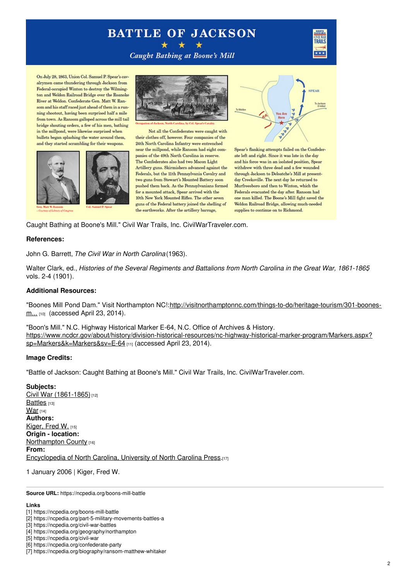# **BATTLE OF JACKSON**



**Caught Bathing at Boone's Mill** 

On July 28, 1863, Union Col. Samuel P. Spear's cavalrymen came thundering through Jackson from Federal-occupied Winton to destroy the Wilmington and Weldon Railroad Bridge over the Roanoke River at Weldon. Confederate Gen. Matt W. Ransom and his staff raced just ahead of them in a running shootout, having been surprised half a mile from town. As Ransom galloped across the mill tail bridge shouting orders, a few of his men, bathing in the millpond, were likewise surprised when bullets began splashing the water around them, and they started scrambling for their weapons.





Not all the Confederates were caught with their clothes off, however. Four companies of the 24th North Carolina Infantry were entrenched near the millpond, while Ransom had eight companies of the 49th North Carolina in reserve. The Confederates also had two Macon Light Artillery guns. Skirmishers advanced against the Federals, but the 11th Pennsylvania Cavalry and two guns from Stewart's Mounted Battery soon pushed them back. As the Pennsylvanians formed for a mounted attack, Spear arrived with the 10th New York Mounted Rifles. The other seven guns of the Federal battery joined the shelling of the earthworks. After the artillery barrage,



Spear's flanking attempts failed on the Confederate left and right. Since it was late in the day and his force was in an isolated position, Spear withdrew with three dead and a few wounded through Jackson to Deloatche's Mill at presentday Creeksville. The next day he returned to Murfreesboro and then to Winton, which the Federals evacuated the day after. Ransom had one man killed. The Boone's Mill fight saved the Weldon Railroad Bridge, allowing much-needed supplies to continue on to Richmond.

Caught Bathing at Boone's Mill." Civil War Trails, Inc. CivilWarTraveler.com.

#### **References:**

John G. Barrett, *The Civil War in North Carolina* (1963).

Walter Clark, ed., *Histories of the Several Regiments and Battalions from North Carolina in the Great War, 1861-1865*, vols. 2-4 (1901).

#### **Additional Resources:**

"Boones Mill Pond Dam." Visit Northampton [NC!:http://visitnorthamptonnc.com/things-to-do/heritage-tourism/301-boones](http://visitnorthamptonnc.com/things-to-do/heritage-tourism/301-boones-mill-pond-dam.html)m... [10] (accessed April 23, 2014).

"Boon's Mill." N.C. Highway Historical Marker E-64, N.C. Office of Archives & History. [https://www.ncdcr.gov/about/history/division-historical-resources/nc-highway-historical-marker-program/Markers.aspx?](https://www.ncdcr.gov/about/history/division-historical-resources/nc-highway-historical-marker-program/Markers.aspx?sp=Markers&k=Markers&sv=E-64) sp=Markers&k=Markers&sv=E-64 [11] (accessed April 23, 2014).

#### **Image Credits:**

"Battle of Jackson: Caught Bathing at Boone's Mill." Civil War Trails, Inc. CivilWarTraveler.com.

**Subjects:** Civil War [\(1861-1865\)](https://ncpedia.org/category/subjects/civil-war)<sup>[12]</sup> [Battles](https://ncpedia.org/category/subjects/battles) [13] [War](https://ncpedia.org/category/subjects/war)  $[14]$ **Authors:** [Kiger,](https://ncpedia.org/category/authors/kiger-fred-w) Fred W. [15] **Origin - location: [Northampton](https://ncpedia.org/category/origin-location/coastal-31) County [16] From:** [Encyclopedia](https://ncpedia.org/category/entry-source/encyclopedia-) of North Carolina, University of North Carolina Press.[17]

1 January 2006 | Kiger, Fred W.

**Source URL:** https://ncpedia.org/boons-mill-battle

#### **Links**

<sup>[1]</sup> https://ncpedia.org/boons-mill-battle

<sup>[2]</sup> https://ncpedia.org/part-5-military-movements-battles-a

<sup>[3]</sup> https://ncpedia.org/civil-war-battles

<sup>[4]</sup> https://ncpedia.org/geography/northampton

<sup>[5]</sup> https://ncpedia.org/civil-war

<sup>[6]</sup> https://ncpedia.org/confederate-party

<sup>[7]</sup> https://ncpedia.org/biography/ransom-matthew-whitaker